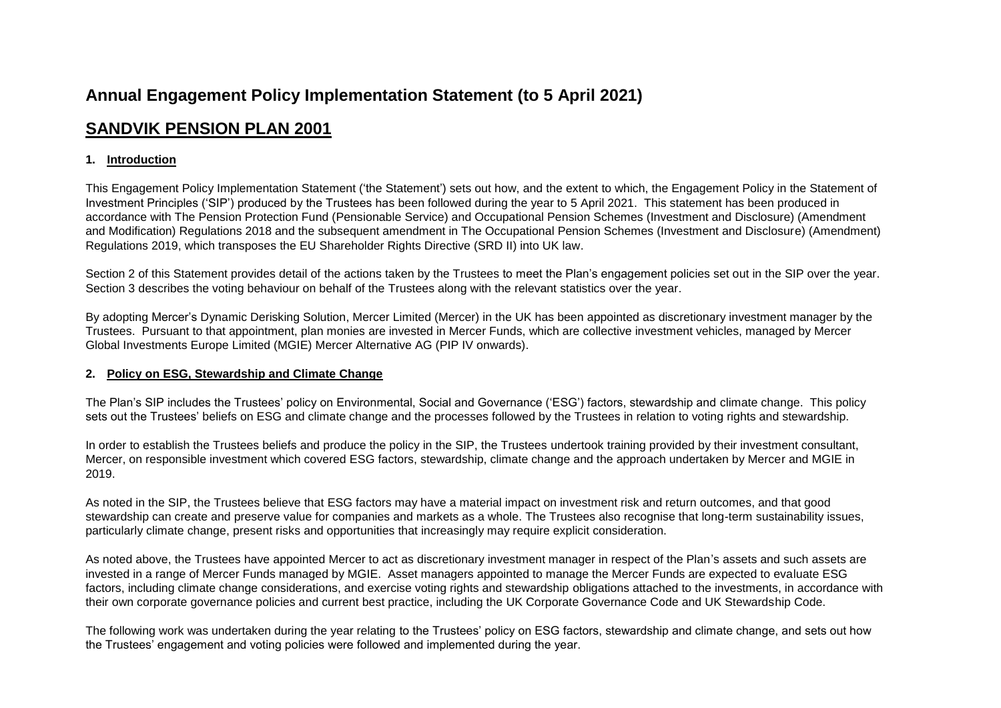# **Annual Engagement Policy Implementation Statement (to 5 April 2021)**

## **SANDVIK PENSION PLAN 2001**

## **1. Introduction**

This Engagement Policy Implementation Statement ('the Statement') sets out how, and the extent to which, the Engagement Policy in the Statement of Investment Principles ('SIP') produced by the Trustees has been followed during the year to 5 April 2021. This statement has been produced in accordance with The Pension Protection Fund (Pensionable Service) and Occupational Pension Schemes (Investment and Disclosure) (Amendment and Modification) Regulations 2018 and the subsequent amendment in The Occupational Pension Schemes (Investment and Disclosure) (Amendment) Regulations 2019, which transposes the EU Shareholder Rights Directive (SRD II) into UK law.

Section 2 of this Statement provides detail of the actions taken by the Trustees to meet the Plan's engagement policies set out in the SIP over the year. Section 3 describes the voting behaviour on behalf of the Trustees along with the relevant statistics over the year.

By adopting Mercer's Dynamic Derisking Solution, Mercer Limited (Mercer) in the UK has been appointed as discretionary investment manager by the Trustees. Pursuant to that appointment, plan monies are invested in Mercer Funds, which are collective investment vehicles, managed by Mercer Global Investments Europe Limited (MGIE) Mercer Alternative AG (PIP IV onwards).

## **2. Policy on ESG, Stewardship and Climate Change**

The Plan's SIP includes the Trustees' policy on Environmental, Social and Governance ('ESG') factors, stewardship and climate change. This policy sets out the Trustees' beliefs on ESG and climate change and the processes followed by the Trustees in relation to voting rights and stewardship.

In order to establish the Trustees beliefs and produce the policy in the SIP, the Trustees undertook training provided by their investment consultant, Mercer, on responsible investment which covered ESG factors, stewardship, climate change and the approach undertaken by Mercer and MGIE in 2019.

As noted in the SIP, the Trustees believe that ESG factors may have a material impact on investment risk and return outcomes, and that good stewardship can create and preserve value for companies and markets as a whole. The Trustees also recognise that long-term sustainability issues, particularly climate change, present risks and opportunities that increasingly may require explicit consideration.

As noted above, the Trustees have appointed Mercer to act as discretionary investment manager in respect of the Plan's assets and such assets are invested in a range of Mercer Funds managed by MGIE. Asset managers appointed to manage the Mercer Funds are expected to evaluate ESG factors, including climate change considerations, and exercise voting rights and stewardship obligations attached to the investments, in accordance with their own corporate governance policies and current best practice, including the UK Corporate Governance Code and UK Stewardship Code.

The following work was undertaken during the year relating to the Trustees' policy on ESG factors, stewardship and climate change, and sets out how the Trustees' engagement and voting policies were followed and implemented during the year.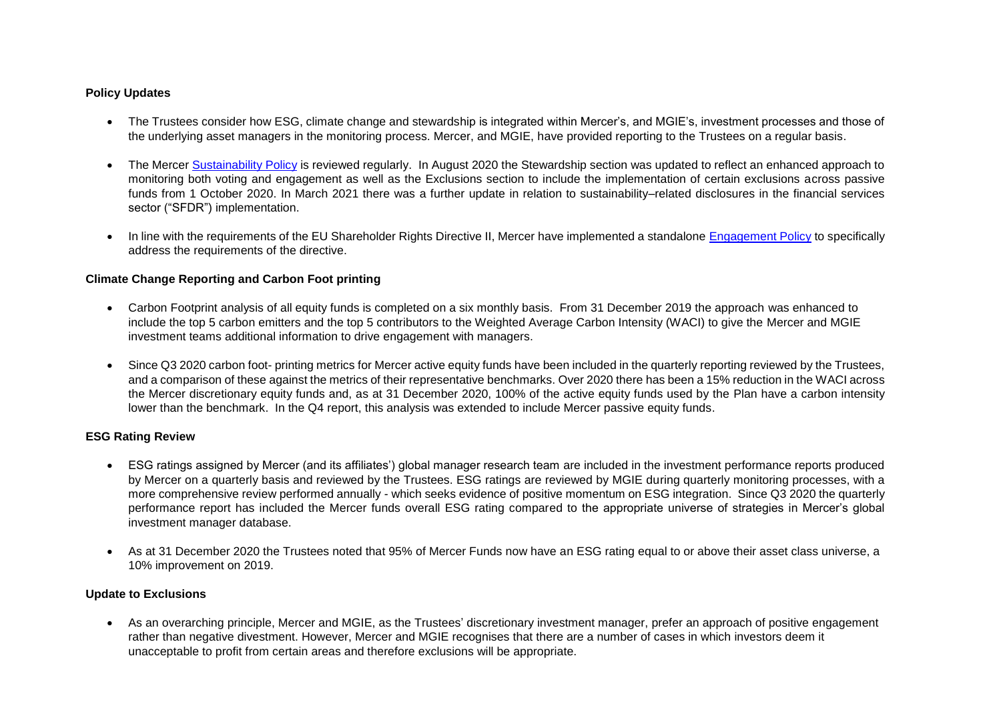## **Policy Updates**

- The Trustees consider how ESG, climate change and stewardship is integrated within Mercer's, and MGIE's, investment processes and those of the underlying asset managers in the monitoring process. Mercer, and MGIE, have provided reporting to the Trustees on a regular basis.
- The Mercer [Sustainability](https://investment-solutions.mercer.com/content/dam/mercer-subdomains/delegated-solutions/CorporatePolicies/Sustainability-Policy-March2021.pdf) Policy is reviewed regularly. In August 2020 the Stewardship section was updated to reflect an enhanced approach to monitoring both voting and engagement as well as the Exclusions section to include the implementation of certain exclusions across passive funds from 1 October 2020. In March 2021 there was a further update in relation to sustainability–related disclosures in the financial services sector ("SFDR") implementation.
- In line with the requirements of the EU Shareholder Rights Directive II, Mercer have implemented a standalone [Engagement Policy](https://investment-solutions.mercer.com/content/dam/mercer-subdomains/delegated-solutions/CorporatePolicies/Engagement%20Policy%20-%20MGIE%20and%20MGIM.pdf) to specifically address the requirements of the directive.

## **Climate Change Reporting and Carbon Foot printing**

- Carbon Footprint analysis of all equity funds is completed on a six monthly basis. From 31 December 2019 the approach was enhanced to include the top 5 carbon emitters and the top 5 contributors to the Weighted Average Carbon Intensity (WACI) to give the Mercer and MGIE investment teams additional information to drive engagement with managers.
- Since Q3 2020 carbon foot- printing metrics for Mercer active equity funds have been included in the quarterly reporting reviewed by the Trustees, and a comparison of these against the metrics of their representative benchmarks. Over 2020 there has been a 15% reduction in the WACI across the Mercer discretionary equity funds and, as at 31 December 2020, 100% of the active equity funds used by the Plan have a carbon intensity lower than the benchmark. In the Q4 report, this analysis was extended to include Mercer passive equity funds.

#### **ESG Rating Review**

- ESG ratings assigned by Mercer (and its affiliates') global manager research team are included in the investment performance reports produced by Mercer on a quarterly basis and reviewed by the Trustees. ESG ratings are reviewed by MGIE during quarterly monitoring processes, with a more comprehensive review performed annually - which seeks evidence of positive momentum on ESG integration. Since Q3 2020 the quarterly performance report has included the Mercer funds overall ESG rating compared to the appropriate universe of strategies in Mercer's global investment manager database.
- As at 31 December 2020 the Trustees noted that 95% of Mercer Funds now have an ESG rating equal to or above their asset class universe, a 10% improvement on 2019.

#### **Update to Exclusions**

 As an overarching principle, Mercer and MGIE, as the Trustees' discretionary investment manager, prefer an approach of positive engagement rather than negative divestment. However, Mercer and MGIE recognises that there are a number of cases in which investors deem it unacceptable to profit from certain areas and therefore exclusions will be appropriate.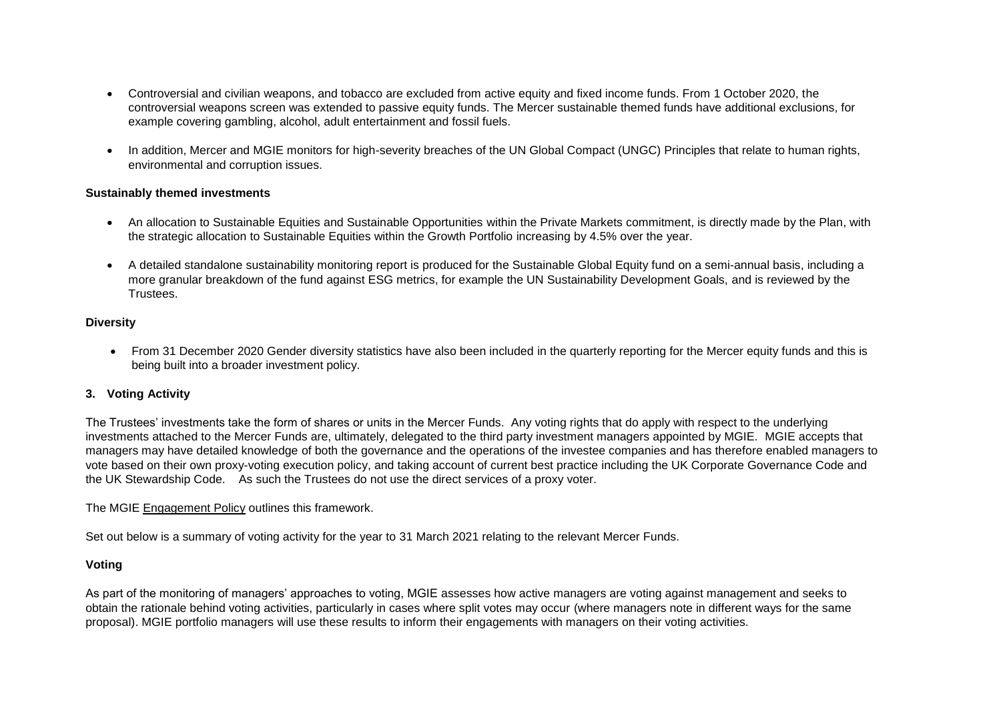- Controversial and civilian weapons, and tobacco are excluded from active equity and fixed income funds. From 1 October 2020, the controversial weapons screen was extended to passive equity funds. The Mercer sustainable themed funds have additional exclusions, for example covering gambling, alcohol, adult entertainment and fossil fuels.
- In addition, Mercer and MGIE monitors for high-severity breaches of the UN Global Compact (UNGC) Principles that relate to human rights, environmental and corruption issues.

#### **Sustainably themed investments**

- An allocation to Sustainable Equities and Sustainable Opportunities within the Private Markets commitment, is directly made by the Plan, with the strategic allocation to Sustainable Equities within the Growth Portfolio increasing by 4.5% over the year.
- A detailed standalone sustainability monitoring report is produced for the Sustainable Global Equity fund on a semi-annual basis, including a more granular breakdown of the fund against ESG metrics, for example the UN Sustainability Development Goals, and is reviewed by the Trustees.

## **Diversity**

 From 31 December 2020 Gender diversity statistics have also been included in the quarterly reporting for the Mercer equity funds and this is being built into a broader investment policy.

#### **3. Voting Activity**

The Trustees' investments take the form of shares or units in the Mercer Funds. Any voting rights that do apply with respect to the underlying investments attached to the Mercer Funds are, ultimately, delegated to the third party investment managers appointed by MGIE. MGIE accepts that managers may have detailed knowledge of both the governance and the operations of the investee companies and has therefore enabled managers to vote based on their own proxy-voting execution policy, and taking account of current best practice including the UK Corporate Governance Code and the UK Stewardship Code. As such the Trustees do not use the direct services of a proxy voter.

#### The MGIE [Engagement Policy](https://investment-solutions.mercer.com/content/dam/mercer-subdomains/delegated-solutions/CorporatePolicies/Engagement%20Policy%20-%20MGIE%20and%20MGIM.pdf) outlines this framework.

Set out below is a summary of voting activity for the year to 31 March 2021 relating to the relevant Mercer Funds.

#### **Voting**

As part of the monitoring of managers' approaches to voting, MGIE assesses how active managers are voting against management and seeks to obtain the rationale behind voting activities, particularly in cases where split votes may occur (where managers note in different ways for the same proposal). MGIE portfolio managers will use these results to inform their engagements with managers on their voting activities.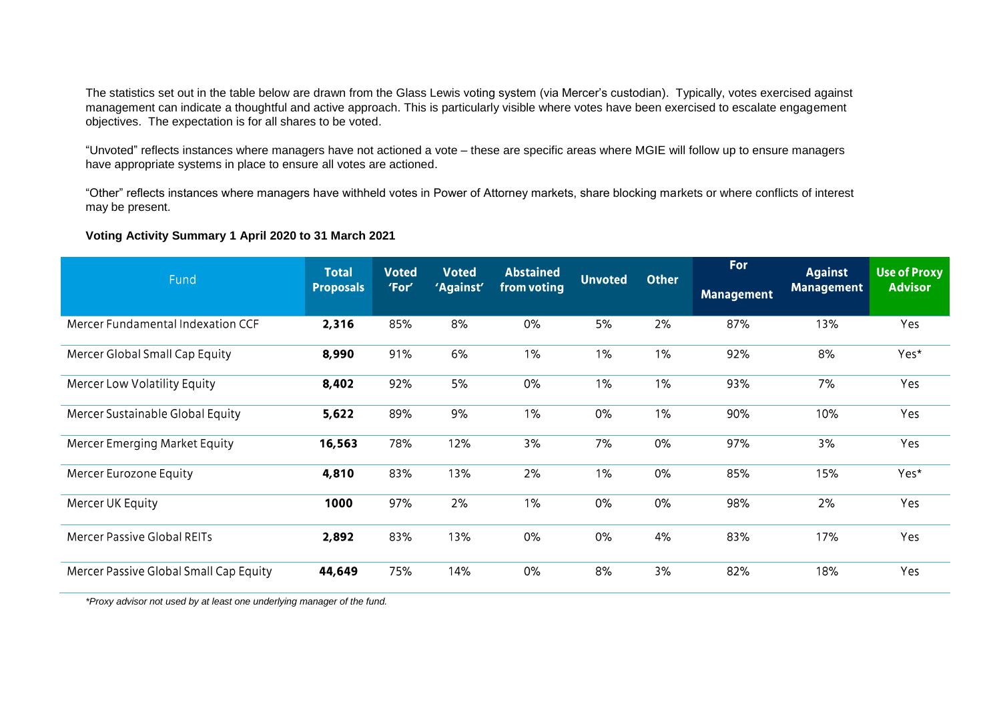The statistics set out in the table below are drawn from the Glass Lewis voting system (via Mercer's custodian). Typically, votes exercised against management can indicate a thoughtful and active approach. This is particularly visible where votes have been exercised to escalate engagement objectives. The expectation is for all shares to be voted.

"Unvoted" reflects instances where managers have not actioned a vote – these are specific areas where MGIE will follow up to ensure managers have appropriate systems in place to ensure all votes are actioned.

"Other" reflects instances where managers have withheld votes in Power of Attorney markets, share blocking markets or where conflicts of interest may be present.

## **Voting Activity Summary 1 April 2020 to 31 March 2021**

| Fund                                   | <b>Total</b><br><b>Proposals</b> | <b>Voted</b><br>'For' | <b>Voted</b><br>'Against' | <b>Abstained</b><br>from voting | <b>Unvoted</b> | <b>Other</b> | <b>For</b>        | <b>Against</b>    | <b>Use of Proxy</b> |
|----------------------------------------|----------------------------------|-----------------------|---------------------------|---------------------------------|----------------|--------------|-------------------|-------------------|---------------------|
|                                        |                                  |                       |                           |                                 |                |              | <b>Management</b> | <b>Management</b> | <b>Advisor</b>      |
| Mercer Fundamental Indexation CCF      | 2,316                            | 85%                   | 8%                        | 0%                              | 5%             | 2%           | 87%               | 13%               | Yes                 |
| Mercer Global Small Cap Equity         | 8,990                            | 91%                   | 6%                        | $1\%$                           | $1\%$          | 1%           | 92%               | 8%                | Yes*                |
| Mercer Low Volatility Equity           | 8,402                            | 92%                   | 5%                        | 0%                              | $1\%$          | $1\%$        | 93%               | 7%                | Yes                 |
| Mercer Sustainable Global Equity       | 5,622                            | 89%                   | 9%                        | $1\%$                           | 0%             | 1%           | 90%               | 10%               | Yes                 |
| Mercer Emerging Market Equity          | 16,563                           | 78%                   | 12%                       | 3%                              | 7%             | $0\%$        | 97%               | 3%                | Yes                 |
| Mercer Eurozone Equity                 | 4,810                            | 83%                   | 13%                       | 2%                              | 1%             | $0\%$        | 85%               | 15%               | Yes*                |
| Mercer UK Equity                       | 1000                             | 97%                   | 2%                        | 1%                              | 0%             | $0\%$        | 98%               | 2%                | Yes                 |
| <b>Mercer Passive Global REITs</b>     | 2,892                            | 83%                   | 13%                       | 0%                              | $0\%$          | 4%           | 83%               | 17%               | Yes                 |
| Mercer Passive Global Small Cap Equity | 44,649                           | 75%                   | 14%                       | $0\%$                           | 8%             | 3%           | 82%               | 18%               | Yes                 |

*\*Proxy advisor not used by at least one underlying manager of the fund.*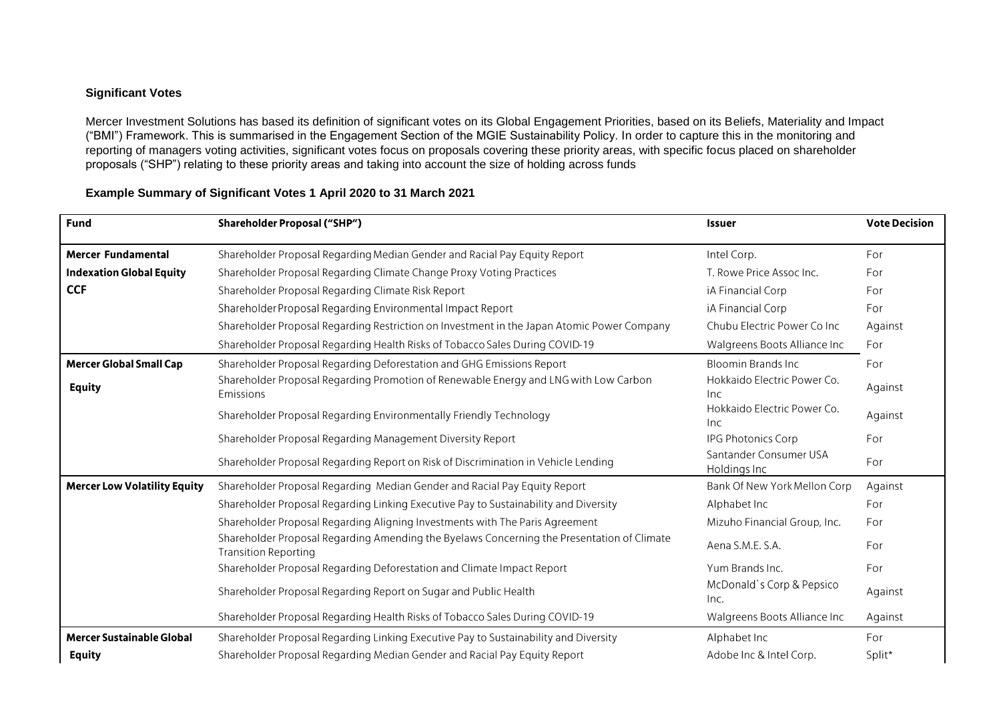## **Significant Votes**

Mercer Investment Solutions has based its definition of significant votes on its Global Engagement Priorities, based on its Beliefs, Materiality and Impact ("BMI") Framework. This is summarised in the Engagement Section of the MGIE Sustainability Policy. In order to capture this in the monitoring and reporting of managers voting activities, significant votes focus on proposals covering these priority areas, with specific focus placed on shareholder proposals ("SHP") relating to these priority areas and taking into account the size of holding across funds

| <b>Fund</b>                         | <b>Shareholder Proposal ("SHP")</b>                                                                                       | Issuer                                 | <b>Vote Decision</b> |
|-------------------------------------|---------------------------------------------------------------------------------------------------------------------------|----------------------------------------|----------------------|
| <b>Mercer Fundamental</b>           | Shareholder Proposal Regarding Median Gender and Racial Pay Equity Report                                                 | Intel Corp.                            | For                  |
| <b>Indexation Global Equity</b>     | Shareholder Proposal Regarding Climate Change Proxy Voting Practices                                                      | T. Rowe Price Assoc Inc.               | For                  |
| <b>CCF</b>                          | Shareholder Proposal Regarding Climate Risk Report                                                                        | iA Financial Corp                      | For                  |
|                                     | Shareholder Proposal Regarding Environmental Impact Report                                                                | iA Financial Corp                      | For                  |
|                                     | Shareholder Proposal Regarding Restriction on Investment in the Japan Atomic Power Company                                | Chubu Electric Power Co Inc            | Against              |
|                                     | Shareholder Proposal Regarding Health Risks of Tobacco Sales During COVID-19                                              | Walgreens Boots Alliance Inc           | For                  |
| <b>Mercer Global Small Cap</b>      | Shareholder Proposal Regarding Deforestation and GHG Emissions Report                                                     | <b>Bloomin Brands Inc.</b>             | For                  |
| <b>Equity</b>                       | Shareholder Proposal Regarding Promotion of Renewable Energy and LNG with Low Carbon<br>Emissions                         | Hokkaido Electric Power Co.<br>Inc.    | Against              |
|                                     | Shareholder Proposal Regarding Environmentally Friendly Technology                                                        | Hokkaido Electric Power Co.<br>Inc.    | Against              |
|                                     | Shareholder Proposal Regarding Management Diversity Report                                                                | <b>IPG Photonics Corp</b>              | For                  |
|                                     | Shareholder Proposal Regarding Report on Risk of Discrimination in Vehicle Lending                                        | Santander Consumer USA<br>Holdings Inc | For                  |
| <b>Mercer Low Volatility Equity</b> | Shareholder Proposal Regarding Median Gender and Racial Pay Equity Report                                                 | Bank Of New York Mellon Corp           | Against              |
|                                     | Shareholder Proposal Regarding Linking Executive Pay to Sustainability and Diversity                                      | Alphabet Inc                           | For                  |
|                                     | Shareholder Proposal Regarding Aligning Investments with The Paris Agreement                                              | Mizuho Financial Group, Inc.           | For                  |
|                                     | Shareholder Proposal Regarding Amending the Byelaws Concerning the Presentation of Climate<br><b>Transition Reporting</b> | Aena S.M.E. S.A.                       | For                  |
|                                     | Shareholder Proposal Regarding Deforestation and Climate Impact Report                                                    | Yum Brands Inc.                        | For                  |
|                                     | Shareholder Proposal Regarding Report on Sugar and Public Health                                                          | McDonald's Corp & Pepsico<br>Inc.      | Against              |
|                                     | Shareholder Proposal Regarding Health Risks of Tobacco Sales During COVID-19                                              | Walgreens Boots Alliance Inc           | Against              |
| Mercer Sustainable Global           | Shareholder Proposal Regarding Linking Executive Pay to Sustainability and Diversity                                      | Alphabet Inc                           | For                  |
| <b>Equity</b>                       | Shareholder Proposal Regarding Median Gender and Racial Pay Equity Report                                                 | Adobe Inc & Intel Corp.                | Split*               |

## **Example Summary of Significant Votes 1 April 2020 to 31 March 2021**